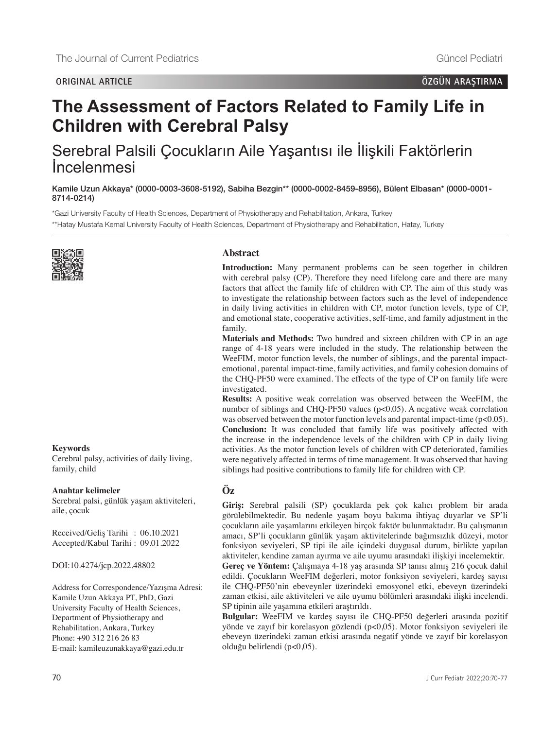# **The Assessment of Factors Related to Family Life in Children with Cerebral Palsy**

## Serebral Palsili Çocukların Aile Yaşantısı ile İlişkili Faktörlerin İncelenmesi

Kamile Uzun Akkaya\* [\(0000-0003-3608-5192\)](https://orcid.org/0000-0003-3608-5192), Sabiha Bezgin\*\* [\(0000-0002-8459-8956\),](https://orcid.org/0000-0002-8459-8956) Bülent Elbasan\* [\(0000-0001-](https://orcid.org/0000-0001- 8714-0214) [8714-0214\)](https://orcid.org/0000-0001- 8714-0214)

\*Gazi University Faculty of Health Sciences, Department of Physiotherapy and Rehabilitation, Ankara, Turkey \*\*Hatay Mustafa Kemal University Faculty of Health Sciences, Department of Physiotherapy and Rehabilitation, Hatay, Turkey



#### **Keywords**

Cerebral palsy, activities of daily living, family, child

#### **Anahtar kelimeler**

Serebral palsi, günlük yaşam aktiviteleri, aile, çocuk

Received/Geliş Tarihi : 06.10.2021 Accepted/Kabul Tarihi : 09.01.2022

DOI:10.4274/jcp.2022.48802

Address for Correspondence/Yazışma Adresi: Kamile Uzun Akkaya PT, PhD, Gazi University Faculty of Health Sciences, Department of Physiotherapy and Rehabilitation, Ankara, Turkey Phone: +90 312 216 26 83 E-mail: kamileuzunakkaya@gazi.edu.tr

## **Abstract**

**Introduction:** Many permanent problems can be seen together in children with cerebral palsy (CP). Therefore they need lifelong care and there are many factors that affect the family life of children with CP. The aim of this study was to investigate the relationship between factors such as the level of independence in daily living activities in children with CP, motor function levels, type of CP, and emotional state, cooperative activities, self-time, and family adjustment in the family.

**Materials and Methods:** Two hundred and sixteen children with CP in an age range of 4-18 years were included in the study. The relationship between the WeeFIM, motor function levels, the number of siblings, and the parental impactemotional, parental impact-time, family activities, and family cohesion domains of the CHQ-PF50 were examined. The effects of the type of CP on family life were investigated.

**Results:** A positive weak correlation was observed between the WeeFIM, the number of siblings and CHQ-PF50 values (p<0.05). A negative weak correlation was observed between the motor function levels and parental impact-time (p<0.05). **Conclusion:** It was concluded that family life was positively affected with the increase in the independence levels of the children with CP in daily living activities. As the motor function levels of children with CP deteriorated, families were negatively affected in terms of time management. It was observed that having siblings had positive contributions to family life for children with CP.

## **Öz**

**Giriş:** Serebral palsili (SP) çocuklarda pek çok kalıcı problem bir arada görülebilmektedir. Bu nedenle yaşam boyu bakıma ihtiyaç duyarlar ve SP'li çocukların aile yaşamlarını etkileyen birçok faktör bulunmaktadır. Bu çalışmanın amacı, SP'li çocukların günlük yaşam aktivitelerinde bağımsızlık düzeyi, motor fonksiyon seviyeleri, SP tipi ile aile içindeki duygusal durum, birlikte yapılan aktiviteler, kendine zaman ayırma ve aile uyumu arasındaki ilişkiyi incelemektir.

**Gereç ve Yöntem:** Çalışmaya 4-18 yaş arasında SP tanısı almış 216 çocuk dahil edildi. Çocukların WeeFIM değerleri, motor fonksiyon seviyeleri, kardeş sayısı ile CHQ-PF50'nin ebeveynler üzerindeki emosyonel etki, ebeveyn üzerindeki zaman etkisi, aile aktiviteleri ve aile uyumu bölümleri arasındaki ilişki incelendi. SP tipinin aile yaşamına etkileri araştırıldı.

**Bulgular:** WeeFIM ve kardeş sayısı ile CHQ-PF50 değerleri arasında pozitif yönde ve zayıf bir korelasyon gözlendi (p<0,05). Motor fonksiyon seviyeleri ile ebeveyn üzerindeki zaman etkisi arasında negatif yönde ve zayıf bir korelasyon olduğu belirlendi (p<0,05).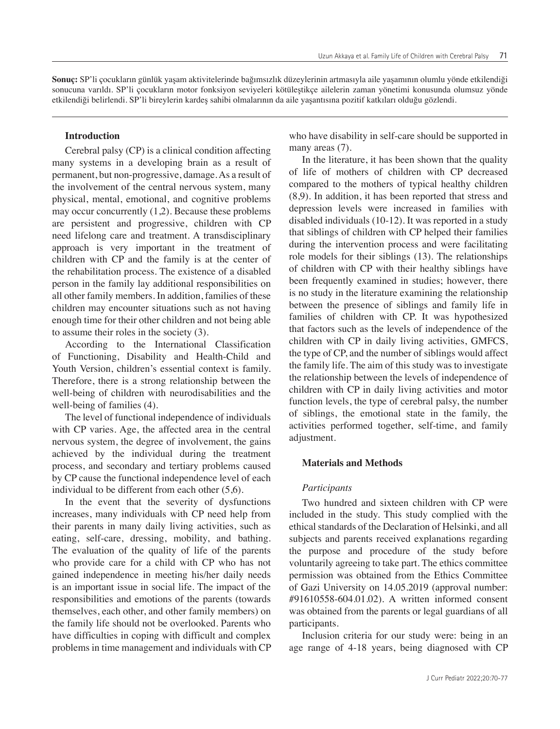**Sonuç:** SP'li çocukların günlük yaşam aktivitelerinde bağımsızlık düzeylerinin artmasıyla aile yaşamının olumlu yönde etkilendiği sonucuna varıldı. SP'li çocukların motor fonksiyon seviyeleri kötüleştikçe ailelerin zaman yönetimi konusunda olumsuz yönde etkilendiği belirlendi. SP'li bireylerin kardeş sahibi olmalarının da aile yaşantısına pozitif katkıları olduğu gözlendi.

#### **Introduction**

Cerebral palsy (CP) is a clinical condition affecting many systems in a developing brain as a result of permanent, but non-progressive, damage. As a result of the involvement of the central nervous system, many physical, mental, emotional, and cognitive problems may occur concurrently (1,2). Because these problems are persistent and progressive, children with CP need lifelong care and treatment. A transdisciplinary approach is very important in the treatment of children with CP and the family is at the center of the rehabilitation process. The existence of a disabled person in the family lay additional responsibilities on all other family members. In addition, families of these children may encounter situations such as not having enough time for their other children and not being able to assume their roles in the society (3).

According to the International Classification of Functioning, Disability and Health-Child and Youth Version, children's essential context is family. Therefore, there is a strong relationship between the well-being of children with neurodisabilities and the well-being of families (4).

The level of functional independence of individuals with CP varies. Age, the affected area in the central nervous system, the degree of involvement, the gains achieved by the individual during the treatment process, and secondary and tertiary problems caused by CP cause the functional independence level of each individual to be different from each other (5,6).

In the event that the severity of dysfunctions increases, many individuals with CP need help from their parents in many daily living activities, such as eating, self-care, dressing, mobility, and bathing. The evaluation of the quality of life of the parents who provide care for a child with CP who has not gained independence in meeting his/her daily needs is an important issue in social life. The impact of the responsibilities and emotions of the parents (towards themselves, each other, and other family members) on the family life should not be overlooked. Parents who have difficulties in coping with difficult and complex problems in time management and individuals with CP who have disability in self-care should be supported in many areas  $(7)$ .

In the literature, it has been shown that the quality of life of mothers of children with CP decreased compared to the mothers of typical healthy children (8,9). In addition, it has been reported that stress and depression levels were increased in families with disabled individuals (10-12). It was reported in a study that siblings of children with CP helped their families during the intervention process and were facilitating role models for their siblings (13). The relationships of children with CP with their healthy siblings have been frequently examined in studies; however, there is no study in the literature examining the relationship between the presence of siblings and family life in families of children with CP. It was hypothesized that factors such as the levels of independence of the children with CP in daily living activities, GMFCS, the type of CP, and the number of siblings would affect the family life. The aim of this study was to investigate the relationship between the levels of independence of children with CP in daily living activities and motor function levels, the type of cerebral palsy, the number of siblings, the emotional state in the family, the activities performed together, self-time, and family adjustment.

#### **Materials and Methods**

#### *Participants*

Two hundred and sixteen children with CP were included in the study. This study complied with the ethical standards of the Declaration of Helsinki, and all subjects and parents received explanations regarding the purpose and procedure of the study before voluntarily agreeing to take part. The ethics committee permission was obtained from the Ethics Committee of Gazi University on 14.05.2019 (approval number: #91610558-604.01.02). A written informed consent was obtained from the parents or legal guardians of all participants.

Inclusion criteria for our study were: being in an age range of 4-18 years, being diagnosed with CP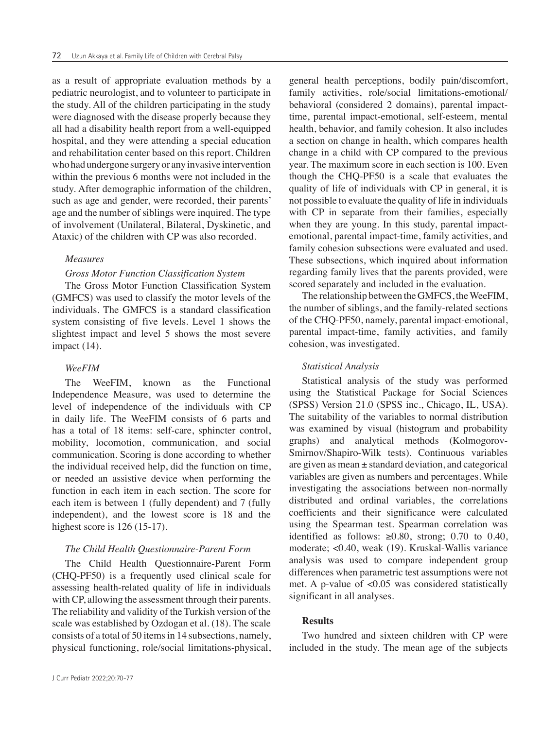as a result of appropriate evaluation methods by a pediatric neurologist, and to volunteer to participate in the study. All of the children participating in the study were diagnosed with the disease properly because they all had a disability health report from a well-equipped hospital, and they were attending a special education and rehabilitation center based on this report. Children who had undergone surgery or any invasive intervention within the previous 6 months were not included in the study. After demographic information of the children, such as age and gender, were recorded, their parents' age and the number of siblings were inquired. The type of involvement (Unilateral, Bilateral, Dyskinetic, and Ataxic) of the children with CP was also recorded.

#### *Measures*

## *Gross Motor Function Classification System*

The Gross Motor Function Classification System (GMFCS) was used to classify the motor levels of the individuals. The GMFCS is a standard classification system consisting of five levels. Level 1 shows the slightest impact and level 5 shows the most severe impact (14).

## *WeeFIM*

The WeeFIM, known as the Functional Independence Measure, was used to determine the level of independence of the individuals with CP in daily life. The WeeFIM consists of 6 parts and has a total of 18 items: self-care, sphincter control, mobility, locomotion, communication, and social communication. Scoring is done according to whether the individual received help, did the function on time, or needed an assistive device when performing the function in each item in each section. The score for each item is between 1 (fully dependent) and 7 (fully independent), and the lowest score is 18 and the highest score is 126 (15-17).

### *The Child Health Questionnaire-Parent Form*

The Child Health Questionnaire-Parent Form (CHQ-PF50) is a frequently used clinical scale for assessing health-related quality of life in individuals with CP, allowing the assessment through their parents. The reliability and validity of the Turkish version of the scale was established by Ozdogan et al. (18). The scale consists of a total of 50 items in 14 subsections, namely, physical functioning, role/social limitations-physical, general health perceptions, bodily pain/discomfort, family activities, role/social limitations-emotional/ behavioral (considered 2 domains), parental impacttime, parental impact-emotional, self-esteem, mental health, behavior, and family cohesion. It also includes a section on change in health, which compares health change in a child with CP compared to the previous year. The maximum score in each section is 100. Even though the CHQ-PF50 is a scale that evaluates the quality of life of individuals with CP in general, it is not possible to evaluate the quality of life in individuals with CP in separate from their families, especially when they are young. In this study, parental impactemotional, parental impact-time, family activities, and family cohesion subsections were evaluated and used. These subsections, which inquired about information regarding family lives that the parents provided, were scored separately and included in the evaluation.

The relationship between the GMFCS, the WeeFIM, the number of siblings, and the family-related sections of the CHQ-PF50, namely, parental impact-emotional, parental impact-time, family activities, and family cohesion, was investigated.

## *Statistical Analysis*

Statistical analysis of the study was performed using the Statistical Package for Social Sciences (SPSS) Version 21.0 (SPSS inc., Chicago, IL, USA). The suitability of the variables to normal distribution was examined by visual (histogram and probability graphs) and analytical methods (Kolmogorov-Smirnov/Shapiro-Wilk tests). Continuous variables are given as mean ± standard deviation, and categorical variables are given as numbers and percentages. While investigating the associations between non-normally distributed and ordinal variables, the correlations coefficients and their significance were calculated using the Spearman test. Spearman correlation was identified as follows:  $≥0.80$ , strong; 0.70 to 0.40, moderate; <0.40, weak (19). Kruskal-Wallis variance analysis was used to compare independent group differences when parametric test assumptions were not met. A p-value of <0.05 was considered statistically significant in all analyses.

## **Results**

Two hundred and sixteen children with CP were included in the study. The mean age of the subjects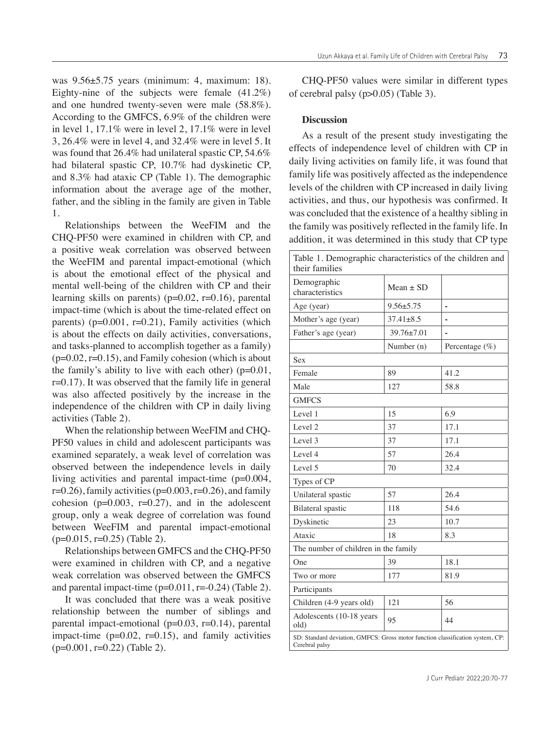was 9.56±5.75 years (minimum: 4, maximum: 18). Eighty-nine of the subjects were female (41.2%) and one hundred twenty-seven were male (58.8%). According to the GMFCS, 6.9% of the children were in level 1, 17.1% were in level 2, 17.1% were in level 3, 26.4% were in level 4, and 32.4% were in level 5. It was found that 26.4% had unilateral spastic CP, 54.6% had bilateral spastic CP, 10.7% had dyskinetic CP, and 8.3% had ataxic CP (Table 1). The demographic information about the average age of the mother, father, and the sibling in the family are given in Table 1.

Relationships between the WeeFIM and the CHQ-PF50 were examined in children with CP, and a positive weak correlation was observed between the WeeFIM and parental impact-emotional (which is about the emotional effect of the physical and mental well-being of the children with CP and their learning skills on parents) ( $p=0.02$ ,  $r=0.16$ ), parental impact-time (which is about the time-related effect on parents) ( $p=0.001$ ,  $r=0.21$ ), Family activities (which is about the effects on daily activities, conversations, and tasks-planned to accomplish together as a family)  $(p=0.02, r=0.15)$ , and Family cohesion (which is about the family's ability to live with each other)  $(p=0.01,$ r=0.17). It was observed that the family life in general was also affected positively by the increase in the independence of the children with CP in daily living activities (Table 2).

When the relationship between WeeFIM and CHQ-PF50 values in child and adolescent participants was examined separately, a weak level of correlation was observed between the independence levels in daily living activities and parental impact-time (p=0.004,  $r=0.26$ , family activities ( $p=0.003$ ,  $r=0.26$ ), and family cohesion ( $p=0.003$ ,  $r=0.27$ ), and in the adolescent group, only a weak degree of correlation was found between WeeFIM and parental impact-emotional  $(p=0.015, r=0.25)$  (Table 2).

Relationships between GMFCS and the CHQ-PF50 were examined in children with CP, and a negative weak correlation was observed between the GMFCS and parental impact-time  $(p=0.011, r=-0.24)$  (Table 2).

It was concluded that there was a weak positive relationship between the number of siblings and parental impact-emotional  $(p=0.03, r=0.14)$ , parental impact-time  $(p=0.02, r=0.15)$ , and family activities  $(p=0.001, r=0.22)$  (Table 2).

Uzun Akkaya et al. Family Life of Children with Cerebral Palsy 73

CHQ-PF50 values were similar in different types of cerebral palsy (p>0.05) (Table 3).

## **Discussion**

As a result of the present study investigating the effects of independence level of children with CP in daily living activities on family life, it was found that family life was positively affected as the independence levels of the children with CP increased in daily living activities, and thus, our hypothesis was confirmed. It was concluded that the existence of a healthy sibling in the family was positively reflected in the family life. In addition, it was determined in this study that CP type

| Table 1. Demographic characteristics of the children and<br>their families                       |                 |                   |  |  |  |  |  |
|--------------------------------------------------------------------------------------------------|-----------------|-------------------|--|--|--|--|--|
| Demographic<br>characteristics                                                                   | $Mean \pm SD$   |                   |  |  |  |  |  |
| Age (year)                                                                                       | $9.56 + 5.75$   |                   |  |  |  |  |  |
| Mother's age (year)                                                                              | $37.41 \pm 8.5$ |                   |  |  |  |  |  |
| Father's age (year)                                                                              | 39.76±7.01      |                   |  |  |  |  |  |
|                                                                                                  | Number (n)      | Percentage $(\%)$ |  |  |  |  |  |
| Sex                                                                                              |                 |                   |  |  |  |  |  |
| Female                                                                                           | 89              | 41.2              |  |  |  |  |  |
| Male                                                                                             | 127             | 58.8              |  |  |  |  |  |
| <b>GMFCS</b>                                                                                     |                 |                   |  |  |  |  |  |
| Level 1                                                                                          | 15              | 6.9               |  |  |  |  |  |
| Level 2                                                                                          | 37              | 17.1              |  |  |  |  |  |
| Level 3                                                                                          | 37              | 17.1              |  |  |  |  |  |
| Level 4                                                                                          | 57              | 26.4              |  |  |  |  |  |
| Level 5                                                                                          | 70              | 32.4              |  |  |  |  |  |
| Types of CP                                                                                      |                 |                   |  |  |  |  |  |
| Unilateral spastic                                                                               | 57              | 26.4              |  |  |  |  |  |
| <b>Bilateral</b> spastic                                                                         | 118             | 54.6              |  |  |  |  |  |
| Dyskinetic                                                                                       | 23              | 10.7              |  |  |  |  |  |
| Ataxic                                                                                           | 18              | 8.3               |  |  |  |  |  |
| The number of children in the family                                                             |                 |                   |  |  |  |  |  |
| One                                                                                              | 39              | 18.1              |  |  |  |  |  |
| Two or more                                                                                      | 177             | 81.9              |  |  |  |  |  |
| Participants                                                                                     |                 |                   |  |  |  |  |  |
| Children (4-9 years old)                                                                         | 121             | 56                |  |  |  |  |  |
| Adolescents (10-18 years)<br>old)                                                                | 95              | 44                |  |  |  |  |  |
| SD: Standard deviation, GMFCS: Gross motor function classification system, CP:<br>Cerebral palsy |                 |                   |  |  |  |  |  |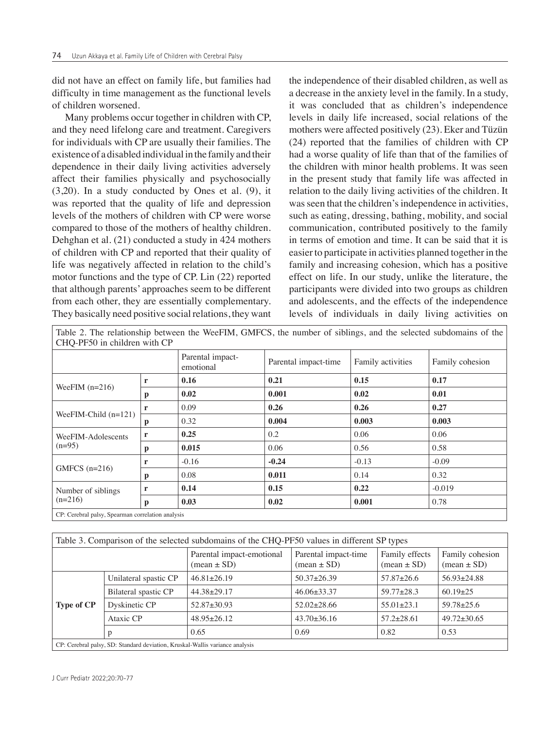did not have an effect on family life, but families had difficulty in time management as the functional levels of children worsened.

Many problems occur together in children with CP, and they need lifelong care and treatment. Caregivers for individuals with CP are usually their families. The existence of a disabled individual in the family and their dependence in their daily living activities adversely affect their families physically and psychosocially (3,20). In a study conducted by Ones et al. (9), it was reported that the quality of life and depression levels of the mothers of children with CP were worse compared to those of the mothers of healthy children. Dehghan et al. (21) conducted a study in 424 mothers of children with CP and reported that their quality of life was negatively affected in relation to the child's motor functions and the type of CP. Lin (22) reported that although parents' approaches seem to be different from each other, they are essentially complementary. They basically need positive social relations, they want

the independence of their disabled children, as well as a decrease in the anxiety level in the family. In a study, it was concluded that as children's independence levels in daily life increased, social relations of the mothers were affected positively (23). Eker and Tüzün (24) reported that the families of children with CP had a worse quality of life than that of the families of the children with minor health problems. It was seen in the present study that family life was affected in relation to the daily living activities of the children. It was seen that the children's independence in activities, such as eating, dressing, bathing, mobility, and social communication, contributed positively to the family in terms of emotion and time. It can be said that it is easier to participate in activities planned together in the family and increasing cohesion, which has a positive effect on life. In our study, unlike the literature, the participants were divided into two groups as children and adolescents, and the effects of the independence levels of individuals in daily living activities on

|                                                   |   |                               | Table 2. The relationship between the WeeFIM, GMFCS, the number of siblings, and the selected subdomains of the |                   |                 |  |  |  |
|---------------------------------------------------|---|-------------------------------|-----------------------------------------------------------------------------------------------------------------|-------------------|-----------------|--|--|--|
| CHQ-PF50 in children with CP                      |   |                               |                                                                                                                 |                   |                 |  |  |  |
|                                                   |   | Parental impact-<br>emotional | Parental impact-time                                                                                            | Family activities | Family cohesion |  |  |  |
| WeeFIM $(n=216)$                                  | r | 0.16                          | 0.21                                                                                                            | 0.15              | 0.17            |  |  |  |
|                                                   | p | 0.02                          | 0.001                                                                                                           | 0.02              | 0.01            |  |  |  |
| WeeFIM-Child $(n=121)$                            | r | 0.09                          | 0.26                                                                                                            | 0.26              | 0.27            |  |  |  |
|                                                   | p | 0.32                          | 0.004                                                                                                           | 0.003             | 0.003           |  |  |  |
| WeeFIM-Adolescents<br>$(n=95)$                    | r | 0.25                          | 0.2                                                                                                             | 0.06              | 0.06            |  |  |  |
|                                                   | p | 0.015                         | 0.06                                                                                                            | 0.56              | 0.58            |  |  |  |
| GMFCS $(n=216)$                                   | r | $-0.16$                       | $-0.24$                                                                                                         | $-0.13$           | $-0.09$         |  |  |  |
|                                                   | p | 0.08                          | 0.011                                                                                                           | 0.14              | 0.32            |  |  |  |
| Number of siblings<br>$(n=216)$                   | r | 0.14                          | 0.15                                                                                                            | 0.22              | $-0.019$        |  |  |  |
|                                                   | p | 0.03                          | 0.02                                                                                                            | 0.001             | 0.78            |  |  |  |
| CP: Cerebral palsy, Spearman correlation analysis |   |                               |                                                                                                                 |                   |                 |  |  |  |

| Table 3. Comparison of the selected subdomains of the CHQ-PF50 values in different SP types |                       |                                                            |                                                       |                                                 |                                                  |  |  |  |
|---------------------------------------------------------------------------------------------|-----------------------|------------------------------------------------------------|-------------------------------------------------------|-------------------------------------------------|--------------------------------------------------|--|--|--|
|                                                                                             |                       | Parental impact-emotional<br>$(\text{mean} \pm \text{SD})$ | Parental impact-time<br>$(\text{mean} \pm \text{SD})$ | Family effects<br>$(\text{mean} \pm \text{SD})$ | Family cohesion<br>$(\text{mean} \pm \text{SD})$ |  |  |  |
| <b>Type of CP</b>                                                                           | Unilateral spastic CP | $46.81 \pm 26.19$                                          | $50.37 + 26.39$                                       | $57.87 + 26.6$                                  | $56.93 \pm 24.88$                                |  |  |  |
|                                                                                             | Bilateral spastic CP  | $44.38 \pm 29.17$                                          | $46.06\pm33.37$                                       | $59.77 \pm 28.3$                                | $60.19 \pm 25$                                   |  |  |  |
|                                                                                             | Dyskinetic CP         | $52.87 \pm 30.93$                                          | $52.02 \pm 28.66$                                     | $55.01 \pm 23.1$                                | $59.78 \pm 25.6$                                 |  |  |  |
|                                                                                             | Ataxic CP             | $48.95 \pm 26.12$                                          | $43.70 \pm 36.16$                                     | $57.2 + 28.61$                                  | $49.72 \pm 30.65$                                |  |  |  |
|                                                                                             | p                     | 0.65                                                       | 0.69                                                  | 0.82                                            | 0.53                                             |  |  |  |
| CP: Cerebral palsy, SD: Standard deviation, Kruskal-Wallis variance analysis                |                       |                                                            |                                                       |                                                 |                                                  |  |  |  |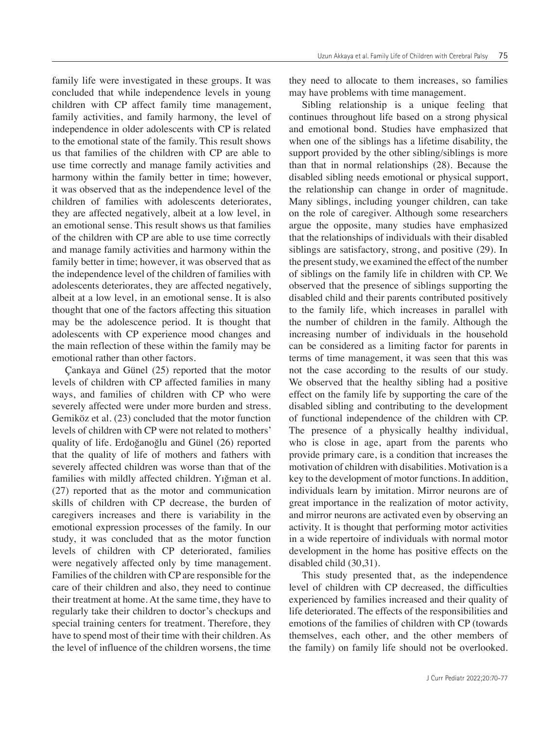family life were investigated in these groups. It was concluded that while independence levels in young children with CP affect family time management, family activities, and family harmony, the level of independence in older adolescents with CP is related to the emotional state of the family. This result shows us that families of the children with CP are able to use time correctly and manage family activities and harmony within the family better in time; however, it was observed that as the independence level of the children of families with adolescents deteriorates, they are affected negatively, albeit at a low level, in an emotional sense. This result shows us that families of the children with CP are able to use time correctly and manage family activities and harmony within the family better in time; however, it was observed that as the independence level of the children of families with adolescents deteriorates, they are affected negatively, albeit at a low level, in an emotional sense. It is also thought that one of the factors affecting this situation may be the adolescence period. It is thought that adolescents with CP experience mood changes and the main reflection of these within the family may be emotional rather than other factors.

Çankaya and Günel (25) reported that the motor levels of children with CP affected families in many ways, and families of children with CP who were severely affected were under more burden and stress. Gemiköz et al. (23) concluded that the motor function levels of children with CP were not related to mothers' quality of life. Erdoğanoğlu and Günel (26) reported that the quality of life of mothers and fathers with severely affected children was worse than that of the families with mildly affected children. Yığman et al. (27) reported that as the motor and communication skills of children with CP decrease, the burden of caregivers increases and there is variability in the emotional expression processes of the family. In our study, it was concluded that as the motor function levels of children with CP deteriorated, families were negatively affected only by time management. Families of the children with CP are responsible for the care of their children and also, they need to continue their treatment at home. At the same time, they have to regularly take their children to doctor's checkups and special training centers for treatment. Therefore, they have to spend most of their time with their children. As the level of influence of the children worsens, the time

they need to allocate to them increases, so families may have problems with time management.

Sibling relationship is a unique feeling that continues throughout life based on a strong physical and emotional bond. Studies have emphasized that when one of the siblings has a lifetime disability, the support provided by the other sibling/siblings is more than that in normal relationships (28). Because the disabled sibling needs emotional or physical support, the relationship can change in order of magnitude. Many siblings, including younger children, can take on the role of caregiver. Although some researchers argue the opposite, many studies have emphasized that the relationships of individuals with their disabled siblings are satisfactory, strong, and positive (29). In the present study, we examined the effect of the number of siblings on the family life in children with CP. We observed that the presence of siblings supporting the disabled child and their parents contributed positively to the family life, which increases in parallel with the number of children in the family. Although the increasing number of individuals in the household can be considered as a limiting factor for parents in terms of time management, it was seen that this was not the case according to the results of our study. We observed that the healthy sibling had a positive effect on the family life by supporting the care of the disabled sibling and contributing to the development of functional independence of the children with CP. The presence of a physically healthy individual, who is close in age, apart from the parents who provide primary care, is a condition that increases the motivation of children with disabilities. Motivation is a key to the development of motor functions. In addition, individuals learn by imitation. Mirror neurons are of great importance in the realization of motor activity, and mirror neurons are activated even by observing an activity. It is thought that performing motor activities in a wide repertoire of individuals with normal motor development in the home has positive effects on the disabled child (30,31).

This study presented that, as the independence level of children with CP decreased, the difficulties experienced by families increased and their quality of life deteriorated. The effects of the responsibilities and emotions of the families of children with CP (towards themselves, each other, and the other members of the family) on family life should not be overlooked.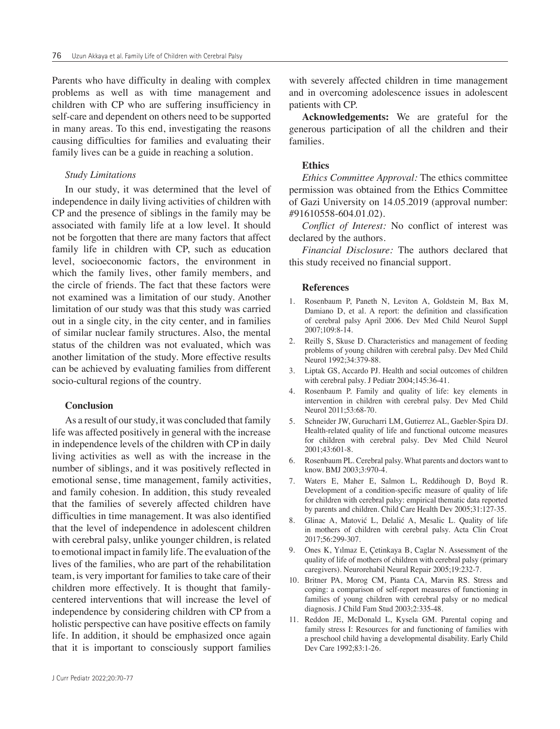Parents who have difficulty in dealing with complex problems as well as with time management and children with CP who are suffering insufficiency in self-care and dependent on others need to be supported in many areas. To this end, investigating the reasons causing difficulties for families and evaluating their family lives can be a guide in reaching a solution.

## *Study Limitations*

In our study, it was determined that the level of independence in daily living activities of children with CP and the presence of siblings in the family may be associated with family life at a low level. It should not be forgotten that there are many factors that affect family life in children with CP, such as education level, socioeconomic factors, the environment in which the family lives, other family members, and the circle of friends. The fact that these factors were not examined was a limitation of our study. Another limitation of our study was that this study was carried out in a single city, in the city center, and in families of similar nuclear family structures. Also, the mental status of the children was not evaluated, which was another limitation of the study. More effective results can be achieved by evaluating families from different socio-cultural regions of the country.

#### **Conclusion**

As a result of our study, it was concluded that family life was affected positively in general with the increase in independence levels of the children with CP in daily living activities as well as with the increase in the number of siblings, and it was positively reflected in emotional sense, time management, family activities, and family cohesion. In addition, this study revealed that the families of severely affected children have difficulties in time management. It was also identified that the level of independence in adolescent children with cerebral palsy, unlike younger children, is related to emotional impact in family life. The evaluation of the lives of the families, who are part of the rehabilitation team, is very important for families to take care of their children more effectively. It is thought that familycentered interventions that will increase the level of independence by considering children with CP from a holistic perspective can have positive effects on family life. In addition, it should be emphasized once again that it is important to consciously support families

with severely affected children in time management and in overcoming adolescence issues in adolescent patients with CP.

**Acknowledgements:** We are grateful for the generous participation of all the children and their families.

#### **Ethics**

*Ethics Committee Approval:* The ethics committee permission was obtained from the Ethics Committee of Gazi University on 14.05.2019 (approval number: #91610558-604.01.02).

*Conflict of Interest:* No conflict of interest was declared by the authors.

*Financial Disclosure:* The authors declared that this study received no financial support.

#### **References**

- 1. Rosenbaum P, Paneth N, Leviton A, Goldstein M, Bax M, Damiano D, et al. A report: the definition and classification of cerebral palsy April 2006. Dev Med Child Neurol Suppl 2007;109:8-14.
- 2. Reilly S, Skuse D. Characteristics and management of feeding problems of young children with cerebral palsy. Dev Med Child Neurol 1992;34:379-88.
- 3. Liptak GS, Accardo PJ. Health and social outcomes of children with cerebral palsy. J Pediatr 2004;145:36-41.
- 4. Rosenbaum P. Family and quality of life: key elements in intervention in children with cerebral palsy. Dev Med Child Neurol 2011;53:68-70.
- 5. Schneider JW, Gurucharri LM, Gutierrez AL, Gaebler-Spira DJ. Health-related quality of life and functional outcome measures for children with cerebral palsy. Dev Med Child Neurol 2001;43:601-8.
- 6. Rosenbaum PL. Cerebral palsy. What parents and doctors want to know. BMJ 2003;3:970-4.
- 7. Waters E, Maher E, Salmon L, Reddihough D, Boyd R. Development of a condition-specific measure of quality of life for children with cerebral palsy: empirical thematic data reported by parents and children. Child Care Health Dev 2005;31:127-35.
- 8. Glinac A, Matović L, Delalić A, Mesalic L. Quality of life in mothers of children with cerebral palsy. Acta Clin Croat 2017;56:299-307.
- 9. Ones K, Yılmaz E, Çetinkaya B, Caglar N. Assessment of the quality of life of mothers of children with cerebral palsy (primary caregivers). Neurorehabil Neural Repair 2005;19:232-7.
- 10. Britner PA, Morog CM, Pianta CA, Marvin RS. Stress and coping: a comparison of self-report measures of functioning in families of young children with cerebral palsy or no medical diagnosis. J Child Fam Stud 2003;2:335-48.
- 11. Reddon JE, McDonald L, Kysela GM. Parental coping and family stress I: Resources for and functioning of families with a preschool child having a developmental disability. Early Child Dev Care 1992;83:1-26.